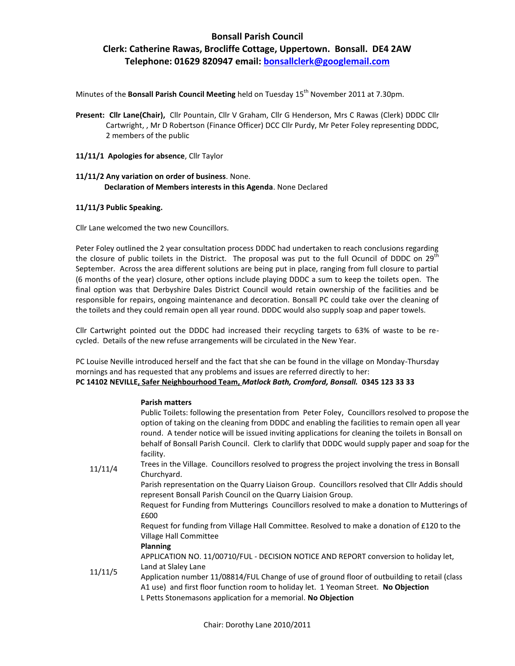### **Bonsall Parish Council**

## **Clerk: Catherine Rawas, Brocliffe Cottage, Uppertown. Bonsall. DE4 2AW Telephone: 01629 820947 email: bonsallclerk@googlemail.com**

Minutes of the **Bonsall Parish Council Meeting** held on Tuesday 15<sup>th</sup> November 2011 at 7.30pm.

- **Present: Cllr Lane(Chair),** Cllr Pountain, Cllr V Graham, Cllr G Henderson, Mrs C Rawas (Clerk) DDDC Cllr Cartwright, , Mr D Robertson (Finance Officer) DCC Cllr Purdy, Mr Peter Foley representing DDDC, 2 members of the public
- **11/11/1 Apologies for absence**, Cllr Taylor

### **11/11/2 Any variation on order of business**. None.  **Declaration of Members interests in this Agenda**. None Declared

#### **11/11/3 Public Speaking.**

Cllr Lane welcomed the two new Councillors.

Peter Foley outlined the 2 year consultation process DDDC had undertaken to reach conclusions regarding the closure of public toilets in the District. The proposal was put to the full Ocuncil of DDDC on 29<sup>th</sup> September. Across the area different solutions are being put in place, ranging from full closure to partial (6 months of the year) closure, other options include playing DDDC a sum to keep the toilets open. The final option was that Derbyshire Dales District Council would retain ownership of the facilities and be responsible for repairs, ongoing maintenance and decoration. Bonsall PC could take over the cleaning of the toilets and they could remain open all year round. DDDC would also supply soap and paper towels.

Cllr Cartwright pointed out the DDDC had increased their recycling targets to 63% of waste to be recycled. Details of the new refuse arrangements will be circulated in the New Year.

PC Louise Neville introduced herself and the fact that she can be found in the village on Monday-Thursday mornings and has requested that any problems and issues are referred directly to her: **PC 14102 NEVILLE, Safer Neighbourhood Team,** *Matlock Bath, Cromford, Bonsall.* **0345 123 33 33** 

### **Parish matters**

|         | Public Toilets: following the presentation from Peter Foley, Councillors resolved to propose the<br>option of taking on the cleaning from DDDC and enabling the facilities to remain open all year<br>round. A tender notice will be issued inviting applications for cleaning the toilets in Bonsall on<br>behalf of Bonsall Parish Council. Clerk to clarlify that DDDC would supply paper and soap for the<br>facility. |
|---------|----------------------------------------------------------------------------------------------------------------------------------------------------------------------------------------------------------------------------------------------------------------------------------------------------------------------------------------------------------------------------------------------------------------------------|
| 11/11/4 | Trees in the Village. Councillors resolved to progress the project involving the tress in Bonsall<br>Churchyard.                                                                                                                                                                                                                                                                                                           |
|         | Parish representation on the Quarry Liaison Group. Councillors resolved that Cllr Addis should<br>represent Bonsall Parish Council on the Quarry Liaision Group.                                                                                                                                                                                                                                                           |
|         | Request for Funding from Mutterings Councillors resolved to make a donation to Mutterings of<br>£600                                                                                                                                                                                                                                                                                                                       |
|         | Request for funding from Village Hall Committee. Resolved to make a donation of £120 to the<br>Village Hall Committee                                                                                                                                                                                                                                                                                                      |
| 11/11/5 | <b>Planning</b>                                                                                                                                                                                                                                                                                                                                                                                                            |
|         | APPLICATION NO. 11/00710/FUL - DECISION NOTICE AND REPORT conversion to holiday let,                                                                                                                                                                                                                                                                                                                                       |
|         | Land at Slaley Lane                                                                                                                                                                                                                                                                                                                                                                                                        |
|         | Application number 11/08814/FUL Change of use of ground floor of outbuilding to retail (class                                                                                                                                                                                                                                                                                                                              |
|         | A1 use) and first floor function room to holiday let. 1 Yeoman Street. No Objection                                                                                                                                                                                                                                                                                                                                        |
|         | L Petts Stonemasons application for a memorial. No Objection                                                                                                                                                                                                                                                                                                                                                               |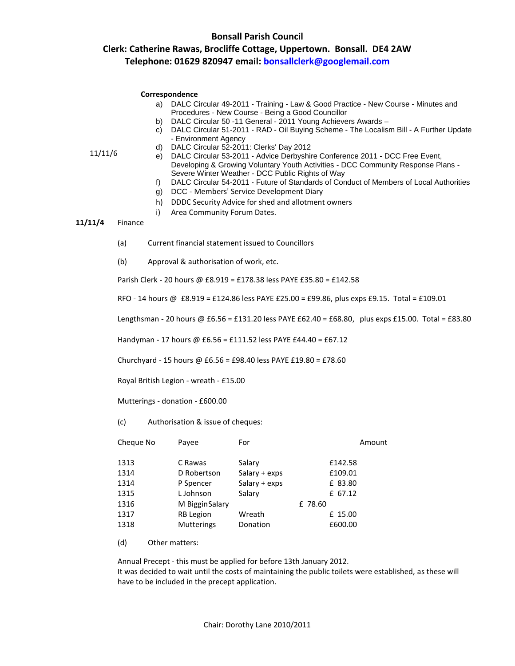### **Bonsall Parish Council Clerk: Catherine Rawas, Brocliffe Cottage, Uppertown. Bonsall. DE4 2AW Telephone: 01629 820947 email: bonsallclerk@googlemail.com**

- a) DALC Circular 49-2011 Training Law & Good Practice New Course Minutes and Procedures - New Course - Being a Good Councillor
- b) DALC Circular 50 -11 General 2011 Young Achievers Awards –
- c) DALC Circular 51-2011 RAD Oil Buying Scheme The Localism Bill A Further Update - Environment Agency
- d) DALC Circular 52-2011: Clerks' Day 2012

11/11/6

- e) DALC Circular 53-2011 Advice Derbyshire Conference 2011 DCC Free Event, Developing & Growing Voluntary Youth Activities - DCC Community Response Plans - Severe Winter Weather - DCC Public Rights of Way
	- f) DALC Circular 54-2011 Future of Standards of Conduct of Members of Local Authorities
	- g) DCC Members' Service Development Diary
	- h) DDDC Security Advice for shed and allotment owners
	- i) Area Community Forum Dates.

### **11/11/4** Finance

- (a) Current financial statement issued to Councillors
- (b) Approval & authorisation of work, etc.

Parish Clerk - 20 hours @ £8.919 = £178.38 less PAYE £35.80 = £142.58

RFO - 14 hours @ £8.919 = £124.86 less PAYE £25.00 = £99.86, plus exps £9.15. Total = £109.01

Lengthsman - 20 hours @ £6.56 = £131.20 less PAYE £62.40 = £68.80, plus exps £15.00. Total = £83.80

Handyman - 17 hours @ £6.56 = £111.52 less PAYE £44.40 = £67.12

Churchyard - 15 hours @ £6.56 = £98.40 less PAYE £19.80 = £78.60

Royal British Legion - wreath - £15.00

Mutterings - donation - £600.00

(c) Authorisation & issue of cheques:

| Cheque No | Payee             | For           | Amount  |
|-----------|-------------------|---------------|---------|
| 1313      | C Rawas           | Salary        | £142.58 |
| 1314      | D Robertson       | Salary + exps | £109.01 |
| 1314      | P Spencer         | Salary + exps | £ 83.80 |
| 1315      | L Johnson         | Salary        | £ 67.12 |
| 1316      | M Biggin Salary   |               | £ 78.60 |
| 1317      | <b>RB</b> Legion  | Wreath        | £ 15.00 |
| 1318      | <b>Mutterings</b> | Donation      | £600.00 |

(d) Other matters:

Annual Precept - this must be applied for before 13th January 2012. It was decided to wait until the costs of maintaining the public toilets were established, as these will have to be included in the precept application.